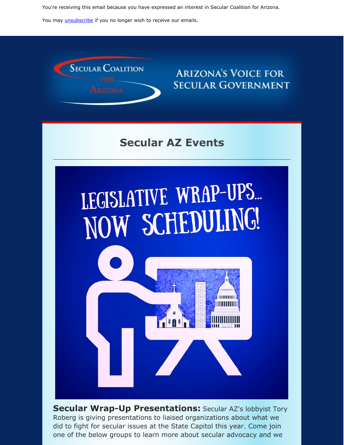You're receiving this email because you have expressed an interest in Secular Coalition for Arizona.

You may *[unsubscribe](https://visitor.constantcontact.com/do?p=un&m=001P9cdir9A6TjtWqZlUS4EUA%3D%3D&ch=&ca=beee97e1-d923-450f-ae36-89460f983aac)* if you no longer wish to receive our emails.



### **ARIZONA'S VOICE FOR SECULAR GOVERNMENT**

# **Secular AZ Events**



**Secular Wrap-Up Presentations:** Secular AZ's lobbyist Tory Roberg is giving presentations to liaised organizations about what we did to fight for secular issues at the State Capitol this year. Come join one of the below groups to learn more about secular advocacy and we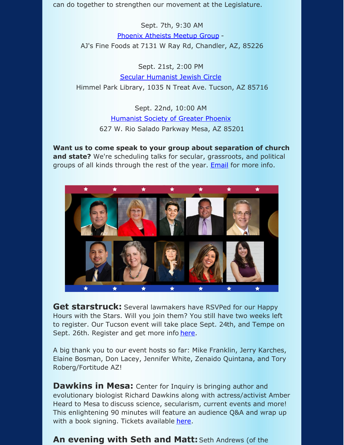can do together to strengthen our movement at the Legislature.

Sept. 7th, 9:30 AM Phoenix [Atheists](https://www.meetup.com/phoenix-atheists/) Meetup Group - AJ's Fine Foods at 7131 W Ray Rd, Chandler, AZ, 85226

Sept. 21st, 2:00 PM Secular [Humanist](https://secularhumanistjewishcircle.org/) Jewish Circle Himmel Park Library, 1035 N Treat Ave. Tucson, AZ 85716

> Sept. 22nd, 10:00 AM [Humanist](https://hsgp.org) Society of Greater Phoenix 627 W. Rio Salado Parkway Mesa, AZ 85201

**Want us to come speak to your group about separation of church and state?** We're scheduling talks for secular, grassroots, and political groups of all kinds through the rest of the year. **[Email](mailto:eric@fortitudeaz.com)** for more info.



**Get starstruck:** Several lawmakers have RSVPed for our Happy Hours with the Stars. Will you join them? You still have two weeks left to register. Our Tucson event will take place Sept. 24th, and Tempe on Sept. 26th. Register and get more info [here](https://secularaz.org/product/happy-hour-with-the-stars-tickets/).

A big thank you to our event hosts so far: Mike Franklin, Jerry Karches, Elaine Bosman, Don Lacey, Jennifer White, Zenaido Quintana, and Tory Roberg/Fortitude AZ!

**Dawkins in Mesa:** Center for Inquiry is bringing author and evolutionary biologist Richard Dawkins along with actress/activist Amber Heard to Mesa to discuss science, secularism, current events and more! This enlightening 90 minutes will feature an audience Q&A and wrap up with a book signing. Tickets available [here](https://www.mesaartscenter.com/index.php/shows/other-presenters/an-evening-with-richard-dawkins-and-amber-heard).

**An evening with Seth and Matt:** Seth Andrews (of the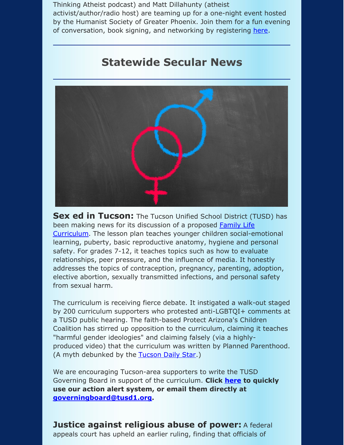Thinking Atheist podcast) and Matt Dillahunty (atheist activist/author/radio host) are teaming up for a one-night event hosted by the Humanist Society of Greater Phoenix. Join them for a fun evening of conversation, book signing, and networking by registering [here](https://hsgp.org/civicrm?page=CiviCRM&q=civicrm%2Fevent%2Fregister&id=3170&reset=1&fbclid=IwAR2xIe4Ft9EoV1iygTmmGxtXFM4E3xEo2CLNVu1zLXBRqgWjokNq-Cr-Kqc).

#### **Statewide Secular News**



**Sex ed in Tucson:** The Tucson Unified School District (TUSD) has been making news for its discussion of a proposed Family Life [Curriculum.](http://curriculum.tusd1.org/Subjects/Family-Life-Curriculum) The lesson plan teaches younger children social-emotional learning, puberty, basic reproductive anatomy, hygiene and personal safety. For grades 7-12, it teaches topics such as how to evaluate relationships, peer pressure, and the influence of media. It honestly addresses the topics of contraception, pregnancy, parenting, adoption, elective abortion, sexually transmitted infections, and personal safety from sexual harm.

The curriculum is receiving fierce debate. It instigated a walk-out staged by 200 curriculum supporters who protested anti-LGBTQI+ comments at a TUSD public hearing. The faith-based Protect Arizona's Children Coalition has stirred up opposition to the curriculum, claiming it teaches "harmful gender ideologies" and claiming falsely (via a highlyproduced video) that the curriculum was written by Planned Parenthood. (A myth debunked by the [Tucson](https://tucson.com/news/local/tusd-forums-on-sex-ed-curriculum-lay-out-divisions-unsettle/article_faa043dd-7e59-5092-a0c1-3001ead8de98.html?fbclid=IwAR3lAwgm_Ab6URTJOekvytgAM6Hqd9APHfyN7-rgeCq09F5wyAY0bvwU6DQ#tracking-source=home-top-story-2) Daily Star.)

We are encouraging Tucson-area supporters to write the TUSD Governing Board in support of the curriculum. **Click [here](https://p2a.co/KjKPMef) to quickly use our action alert system, or email them directly at [governingboard@tusd1.org](mailto:governingboard@tusd1.org).**

**Justice against religious abuse of power:** A federal appeals court has upheld an earlier ruling, finding that officials of